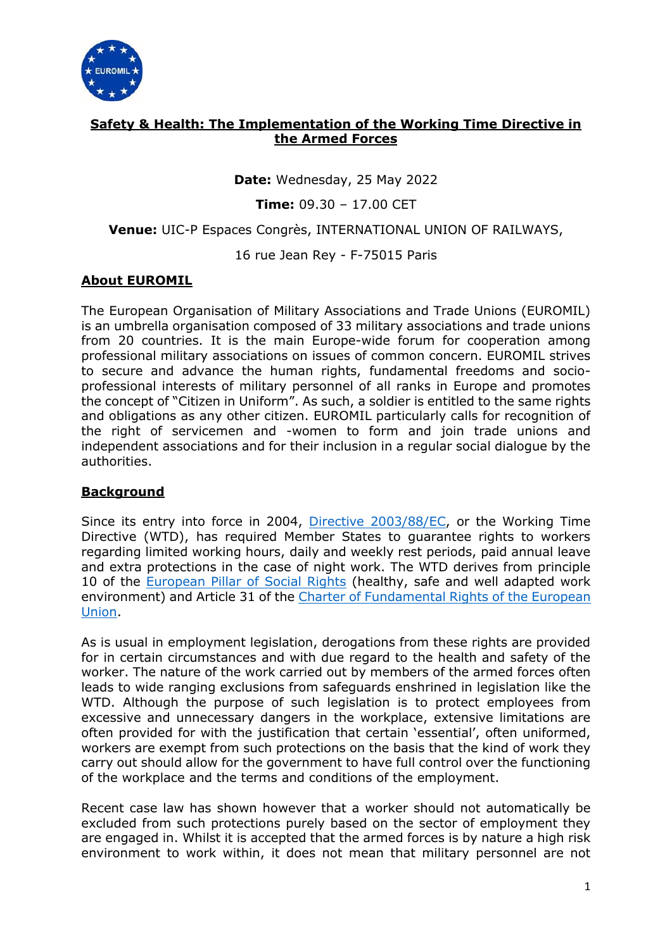

## **Safety & Health: The Implementation of the Working Time Directive in the Armed Forces**

**Date:** Wednesday, 25 May 2022

**Time:** 09.30 – 17.00 CET

**Venue:** UIC-P Espaces Congrès, INTERNATIONAL UNION OF RAILWAYS,

16 rue Jean Rey - F-75015 Paris

#### **About EUROMIL**

The European Organisation of Military Associations and Trade Unions (EUROMIL) is an umbrella organisation composed of 33 military associations and trade unions from 20 countries. It is the main Europe-wide forum for cooperation among professional military associations on issues of common concern. EUROMIL strives to secure and advance the human rights, fundamental freedoms and socioprofessional interests of military personnel of all ranks in Europe and promotes the concept of "Citizen in Uniform". As such, a soldier is entitled to the same rights and obligations as any other citizen. EUROMIL particularly calls for recognition of the right of servicemen and -women to form and join trade unions and independent associations and for their inclusion in a regular social dialogue by the authorities.

#### **Background**

Since its entry into force in 2004, [Directive 2003/88/EC,](https://eur-lex.europa.eu/legal-content/EN/ALL/?uri=CELEX:32003L0088) or the Working Time Directive (WTD), has required Member States to guarantee rights to workers regarding limited working hours, daily and weekly rest periods, paid annual leave and extra protections in the case of night work. The WTD derives from principle 10 of the **European Pillar of Social Rights** (healthy, safe and well adapted work environment) and Article 31 of the Charter of Fundamental Rights of the European [Union.](https://www.europarl.europa.eu/charter/pdf/text_en.pdf)

As is usual in employment legislation, derogations from these rights are provided for in certain circumstances and with due regard to the health and safety of the worker. The nature of the work carried out by members of the armed forces often leads to wide ranging exclusions from safeguards enshrined in legislation like the WTD. Although the purpose of such legislation is to protect employees from excessive and unnecessary dangers in the workplace, extensive limitations are often provided for with the justification that certain 'essential', often uniformed, workers are exempt from such protections on the basis that the kind of work they carry out should allow for the government to have full control over the functioning of the workplace and the terms and conditions of the employment.

Recent case law has shown however that a worker should not automatically be excluded from such protections purely based on the sector of employment they are engaged in. Whilst it is accepted that the armed forces is by nature a high risk environment to work within, it does not mean that military personnel are not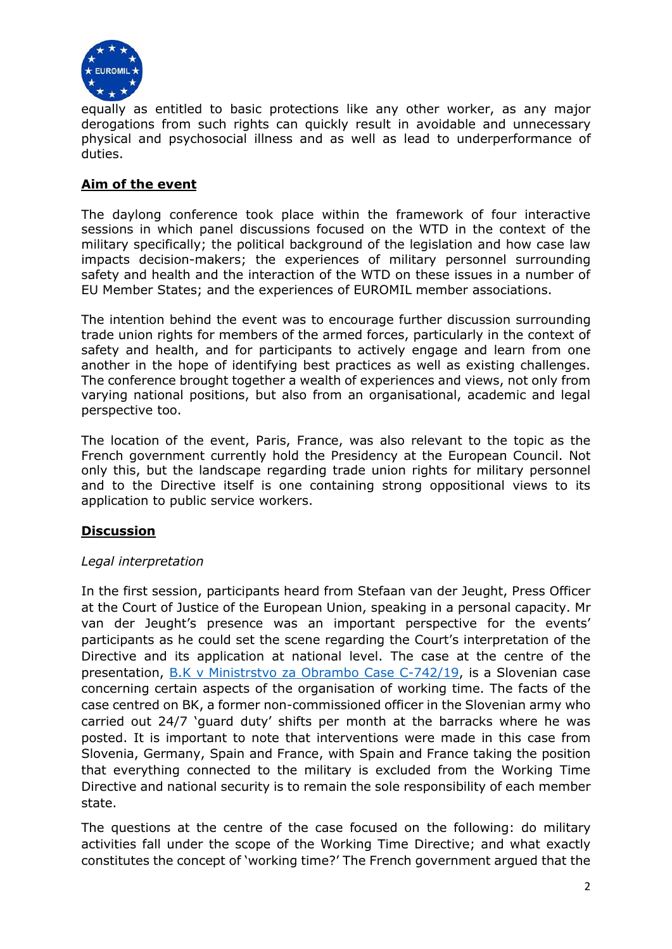

equally as entitled to basic protections like any other worker, as any major derogations from such rights can quickly result in avoidable and unnecessary physical and psychosocial illness and as well as lead to underperformance of duties.

## **Aim of the event**

The daylong conference took place within the framework of four interactive sessions in which panel discussions focused on the WTD in the context of the military specifically; the political background of the legislation and how case law impacts decision-makers; the experiences of military personnel surrounding safety and health and the interaction of the WTD on these issues in a number of EU Member States; and the experiences of EUROMIL member associations.

The intention behind the event was to encourage further discussion surrounding trade union rights for members of the armed forces, particularly in the context of safety and health, and for participants to actively engage and learn from one another in the hope of identifying best practices as well as existing challenges. The conference brought together a wealth of experiences and views, not only from varying national positions, but also from an organisational, academic and legal perspective too.

The location of the event, Paris, France, was also relevant to the topic as the French government currently hold the Presidency at the European Council. Not only this, but the landscape regarding trade union rights for military personnel and to the Directive itself is one containing strong oppositional views to its application to public service workers.

# **Discussion**

#### *Legal interpretation*

In the first session, participants heard from Stefaan van der Jeught, Press Officer at the Court of Justice of the European Union, speaking in a personal capacity. Mr van der Jeught's presence was an important perspective for the events' participants as he could set the scene regarding the Court's interpretation of the Directive and its application at national level. The case at the centre of the presentation, [B.K v Ministrstvo za Obrambo Case C-742/19,](https://curia.europa.eu/juris/document/document.jsf;jsessionid=1C25F539FCC6005742DC16425DCEF334?text=&docid=244183&pageIndex=0&doclang=en&mode=lst&dir=&occ=first&part=1&cid=7142438) is a Slovenian case concerning certain aspects of the organisation of working time. The facts of the case centred on BK, a former non-commissioned officer in the Slovenian army who carried out 24/7 'guard duty' shifts per month at the barracks where he was posted. It is important to note that interventions were made in this case from Slovenia, Germany, Spain and France, with Spain and France taking the position that everything connected to the military is excluded from the Working Time Directive and national security is to remain the sole responsibility of each member state.

The questions at the centre of the case focused on the following: do military activities fall under the scope of the Working Time Directive; and what exactly constitutes the concept of 'working time?' The French government argued that the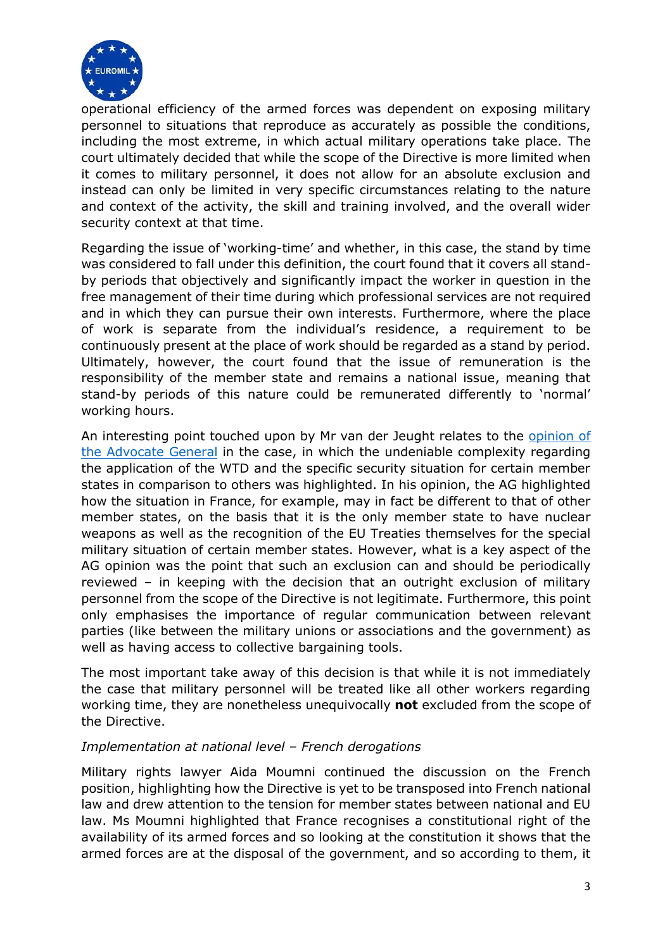

operational efficiency of the armed forces was dependent on exposing military personnel to situations that reproduce as accurately as possible the conditions, including the most extreme, in which actual military operations take place. The court ultimately decided that while the scope of the Directive is more limited when it comes to military personnel, it does not allow for an absolute exclusion and instead can only be limited in very specific circumstances relating to the nature and context of the activity, the skill and training involved, and the overall wider security context at that time.

Regarding the issue of 'working-time' and whether, in this case, the stand by time was considered to fall under this definition, the court found that it covers all standby periods that objectively and significantly impact the worker in question in the free management of their time during which professional services are not required and in which they can pursue their own interests. Furthermore, where the place of work is separate from the individual's residence, a requirement to be continuously present at the place of work should be regarded as a stand by period. Ultimately, however, the court found that the issue of remuneration is the responsibility of the member state and remains a national issue, meaning that stand-by periods of this nature could be remunerated differently to 'normal' working hours.

An interesting point touched upon by Mr van der Jeught relates to the [opinion of](https://curia.europa.eu/juris/document/document.jsf;jsessionid=1C25F539FCC6005742DC16425DCEF334?text=&docid=237084&pageIndex=0&doclang=en&mode=lst&dir=&occ=first&part=1&cid=7142438)  [the Advocate General](https://curia.europa.eu/juris/document/document.jsf;jsessionid=1C25F539FCC6005742DC16425DCEF334?text=&docid=237084&pageIndex=0&doclang=en&mode=lst&dir=&occ=first&part=1&cid=7142438) in the case, in which the undeniable complexity regarding the application of the WTD and the specific security situation for certain member states in comparison to others was highlighted. In his opinion, the AG highlighted how the situation in France, for example, may in fact be different to that of other member states, on the basis that it is the only member state to have nuclear weapons as well as the recognition of the EU Treaties themselves for the special military situation of certain member states. However, what is a key aspect of the AG opinion was the point that such an exclusion can and should be periodically reviewed – in keeping with the decision that an outright exclusion of military personnel from the scope of the Directive is not legitimate. Furthermore, this point only emphasises the importance of regular communication between relevant parties (like between the military unions or associations and the government) as well as having access to collective bargaining tools.

The most important take away of this decision is that while it is not immediately the case that military personnel will be treated like all other workers regarding working time, they are nonetheless unequivocally **not** excluded from the scope of the Directive.

## *Implementation at national level – French derogations*

Military rights lawyer Aida Moumni continued the discussion on the French position, highlighting how the Directive is yet to be transposed into French national law and drew attention to the tension for member states between national and EU law. Ms Moumni highlighted that France recognises a constitutional right of the availability of its armed forces and so looking at the constitution it shows that the armed forces are at the disposal of the government, and so according to them, it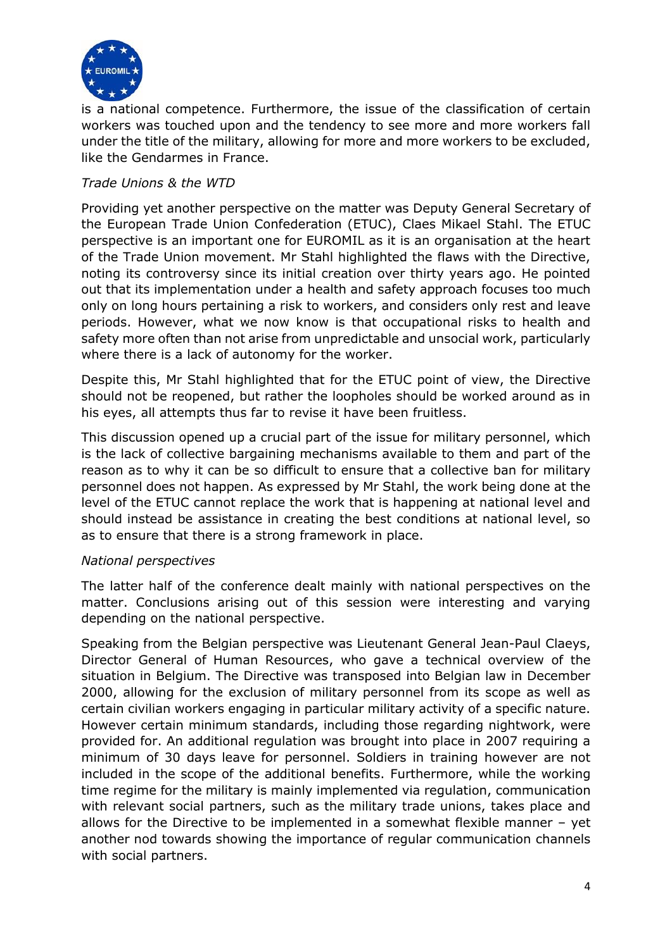

is a national competence. Furthermore, the issue of the classification of certain workers was touched upon and the tendency to see more and more workers fall under the title of the military, allowing for more and more workers to be excluded, like the Gendarmes in France.

### *Trade Unions & the WTD*

Providing yet another perspective on the matter was Deputy General Secretary of the European Trade Union Confederation (ETUC), Claes Mikael Stahl. The ETUC perspective is an important one for EUROMIL as it is an organisation at the heart of the Trade Union movement. Mr Stahl highlighted the flaws with the Directive, noting its controversy since its initial creation over thirty years ago. He pointed out that its implementation under a health and safety approach focuses too much only on long hours pertaining a risk to workers, and considers only rest and leave periods. However, what we now know is that occupational risks to health and safety more often than not arise from unpredictable and unsocial work, particularly where there is a lack of autonomy for the worker.

Despite this, Mr Stahl highlighted that for the ETUC point of view, the Directive should not be reopened, but rather the loopholes should be worked around as in his eyes, all attempts thus far to revise it have been fruitless.

This discussion opened up a crucial part of the issue for military personnel, which is the lack of collective bargaining mechanisms available to them and part of the reason as to why it can be so difficult to ensure that a collective ban for military personnel does not happen. As expressed by Mr Stahl, the work being done at the level of the ETUC cannot replace the work that is happening at national level and should instead be assistance in creating the best conditions at national level, so as to ensure that there is a strong framework in place.

#### *National perspectives*

The latter half of the conference dealt mainly with national perspectives on the matter. Conclusions arising out of this session were interesting and varying depending on the national perspective.

Speaking from the Belgian perspective was Lieutenant General Jean-Paul Claeys, Director General of Human Resources, who gave a technical overview of the situation in Belgium. The Directive was transposed into Belgian law in December 2000, allowing for the exclusion of military personnel from its scope as well as certain civilian workers engaging in particular military activity of a specific nature. However certain minimum standards, including those regarding nightwork, were provided for. An additional regulation was brought into place in 2007 requiring a minimum of 30 days leave for personnel. Soldiers in training however are not included in the scope of the additional benefits. Furthermore, while the working time regime for the military is mainly implemented via regulation, communication with relevant social partners, such as the military trade unions, takes place and allows for the Directive to be implemented in a somewhat flexible manner – yet another nod towards showing the importance of regular communication channels with social partners.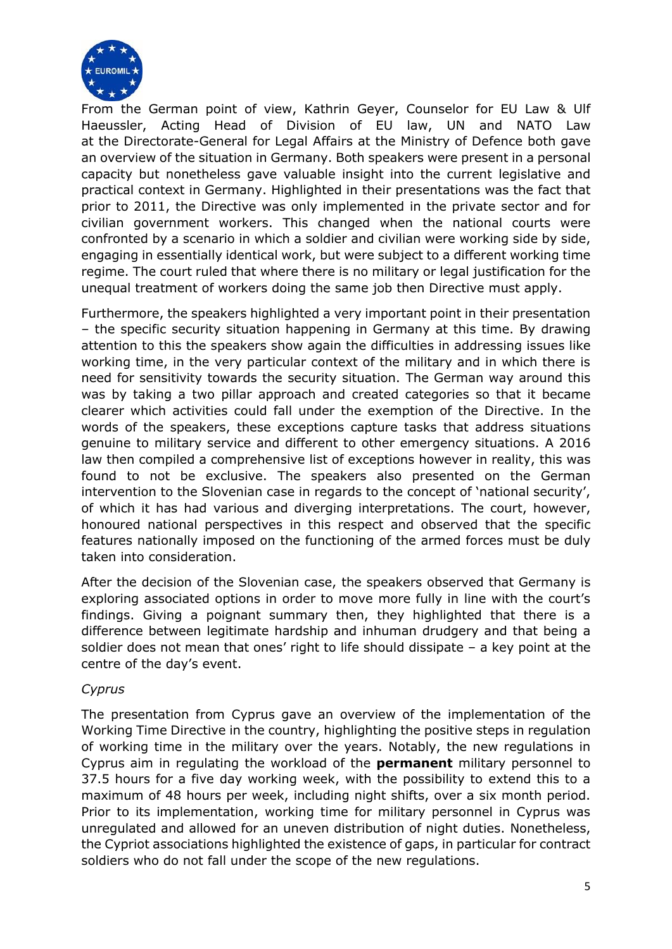

From the German point of view, Kathrin Geyer, Counselor for EU Law & Ulf Haeussler, Acting Head of Division of EU law, UN and NATO Law at the Directorate-General for Legal Affairs at the Ministry of Defence both gave an overview of the situation in Germany. Both speakers were present in a personal capacity but nonetheless gave valuable insight into the current legislative and practical context in Germany. Highlighted in their presentations was the fact that prior to 2011, the Directive was only implemented in the private sector and for civilian government workers. This changed when the national courts were confronted by a scenario in which a soldier and civilian were working side by side, engaging in essentially identical work, but were subject to a different working time regime. The court ruled that where there is no military or legal justification for the unequal treatment of workers doing the same job then Directive must apply.

Furthermore, the speakers highlighted a very important point in their presentation – the specific security situation happening in Germany at this time. By drawing attention to this the speakers show again the difficulties in addressing issues like working time, in the very particular context of the military and in which there is need for sensitivity towards the security situation. The German way around this was by taking a two pillar approach and created categories so that it became clearer which activities could fall under the exemption of the Directive. In the words of the speakers, these exceptions capture tasks that address situations genuine to military service and different to other emergency situations. A 2016 law then compiled a comprehensive list of exceptions however in reality, this was found to not be exclusive. The speakers also presented on the German intervention to the Slovenian case in regards to the concept of 'national security', of which it has had various and diverging interpretations. The court, however, honoured national perspectives in this respect and observed that the specific features nationally imposed on the functioning of the armed forces must be duly taken into consideration.

After the decision of the Slovenian case, the speakers observed that Germany is exploring associated options in order to move more fully in line with the court's findings. Giving a poignant summary then, they highlighted that there is a difference between legitimate hardship and inhuman drudgery and that being a soldier does not mean that ones' right to life should dissipate – a key point at the centre of the day's event.

#### *Cyprus*

The presentation from Cyprus gave an overview of the implementation of the Working Time Directive in the country, highlighting the positive steps in regulation of working time in the military over the years. Notably, the new regulations in Cyprus aim in regulating the workload of the **permanent** military personnel to 37.5 hours for a five day working week, with the possibility to extend this to a maximum of 48 hours per week, including night shifts, over a six month period. Prior to its implementation, working time for military personnel in Cyprus was unregulated and allowed for an uneven distribution of night duties. Nonetheless, the Cypriot associations highlighted the existence of gaps, in particular for contract soldiers who do not fall under the scope of the new regulations.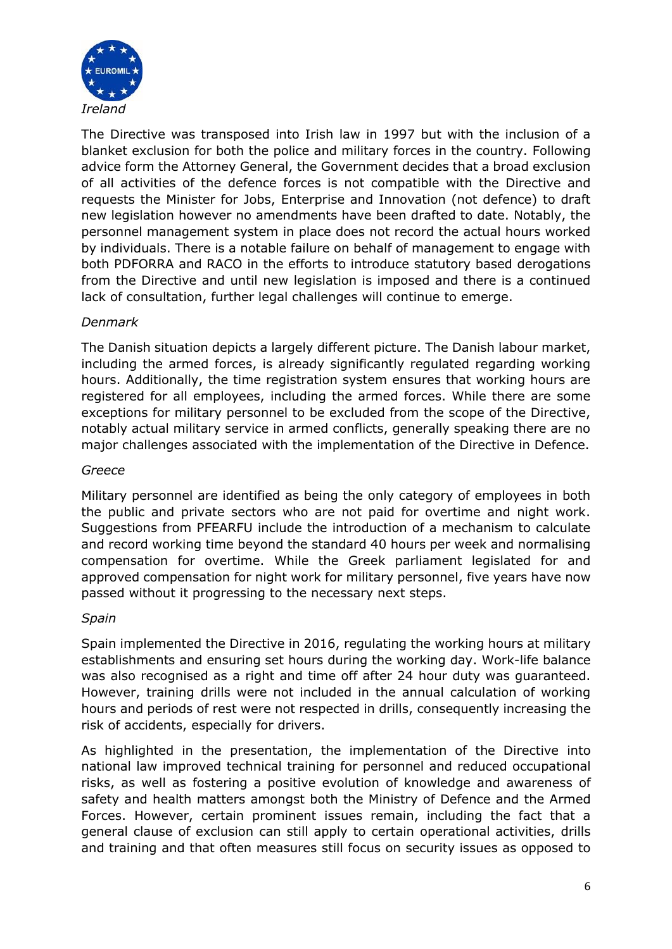

The Directive was transposed into Irish law in 1997 but with the inclusion of a blanket exclusion for both the police and military forces in the country. Following advice form the Attorney General, the Government decides that a broad exclusion of all activities of the defence forces is not compatible with the Directive and requests the Minister for Jobs, Enterprise and Innovation (not defence) to draft new legislation however no amendments have been drafted to date. Notably, the personnel management system in place does not record the actual hours worked by individuals. There is a notable failure on behalf of management to engage with both PDFORRA and RACO in the efforts to introduce statutory based derogations from the Directive and until new legislation is imposed and there is a continued lack of consultation, further legal challenges will continue to emerge.

## *Denmark*

The Danish situation depicts a largely different picture. The Danish labour market, including the armed forces, is already significantly regulated regarding working hours. Additionally, the time registration system ensures that working hours are registered for all employees, including the armed forces. While there are some exceptions for military personnel to be excluded from the scope of the Directive, notably actual military service in armed conflicts, generally speaking there are no major challenges associated with the implementation of the Directive in Defence.

#### *Greece*

Military personnel are identified as being the only category of employees in both the public and private sectors who are not paid for overtime and night work. Suggestions from PFEARFU include the introduction of a mechanism to calculate and record working time beyond the standard 40 hours per week and normalising compensation for overtime. While the Greek parliament legislated for and approved compensation for night work for military personnel, five years have now passed without it progressing to the necessary next steps.

#### *Spain*

Spain implemented the Directive in 2016, regulating the working hours at military establishments and ensuring set hours during the working day. Work-life balance was also recognised as a right and time off after 24 hour duty was guaranteed. However, training drills were not included in the annual calculation of working hours and periods of rest were not respected in drills, consequently increasing the risk of accidents, especially for drivers.

As highlighted in the presentation, the implementation of the Directive into national law improved technical training for personnel and reduced occupational risks, as well as fostering a positive evolution of knowledge and awareness of safety and health matters amongst both the Ministry of Defence and the Armed Forces. However, certain prominent issues remain, including the fact that a general clause of exclusion can still apply to certain operational activities, drills and training and that often measures still focus on security issues as opposed to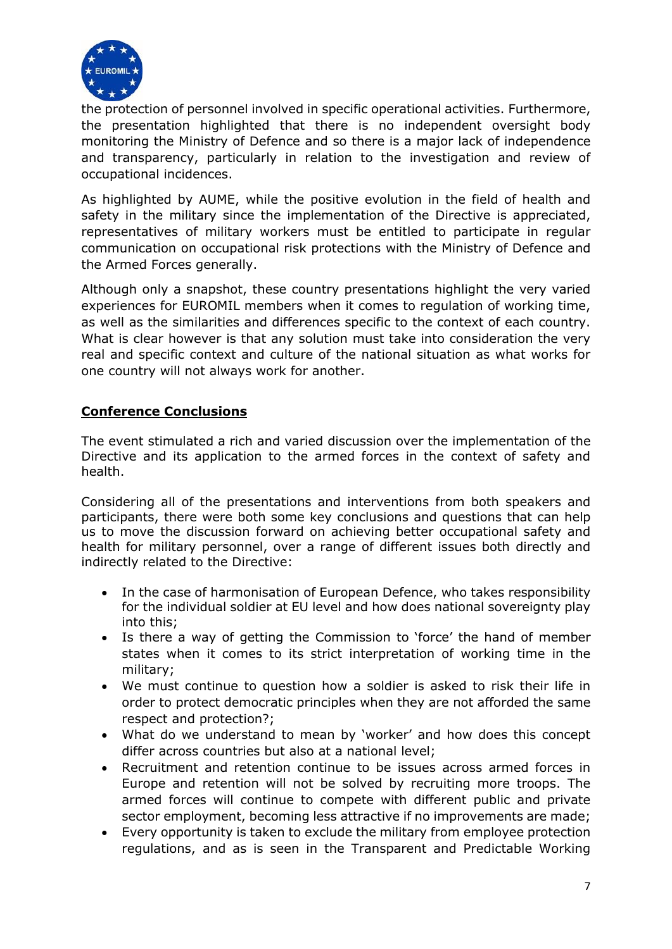

the protection of personnel involved in specific operational activities. Furthermore, the presentation highlighted that there is no independent oversight body monitoring the Ministry of Defence and so there is a major lack of independence and transparency, particularly in relation to the investigation and review of occupational incidences.

As highlighted by AUME, while the positive evolution in the field of health and safety in the military since the implementation of the Directive is appreciated, representatives of military workers must be entitled to participate in regular communication on occupational risk protections with the Ministry of Defence and the Armed Forces generally.

Although only a snapshot, these country presentations highlight the very varied experiences for EUROMIL members when it comes to regulation of working time, as well as the similarities and differences specific to the context of each country. What is clear however is that any solution must take into consideration the very real and specific context and culture of the national situation as what works for one country will not always work for another.

## **Conference Conclusions**

The event stimulated a rich and varied discussion over the implementation of the Directive and its application to the armed forces in the context of safety and health.

Considering all of the presentations and interventions from both speakers and participants, there were both some key conclusions and questions that can help us to move the discussion forward on achieving better occupational safety and health for military personnel, over a range of different issues both directly and indirectly related to the Directive:

- In the case of harmonisation of European Defence, who takes responsibility for the individual soldier at EU level and how does national sovereignty play into this;
- Is there a way of getting the Commission to 'force' the hand of member states when it comes to its strict interpretation of working time in the military;
- We must continue to question how a soldier is asked to risk their life in order to protect democratic principles when they are not afforded the same respect and protection?;
- What do we understand to mean by 'worker' and how does this concept differ across countries but also at a national level;
- Recruitment and retention continue to be issues across armed forces in Europe and retention will not be solved by recruiting more troops. The armed forces will continue to compete with different public and private sector employment, becoming less attractive if no improvements are made;
- Every opportunity is taken to exclude the military from employee protection regulations, and as is seen in the Transparent and Predictable Working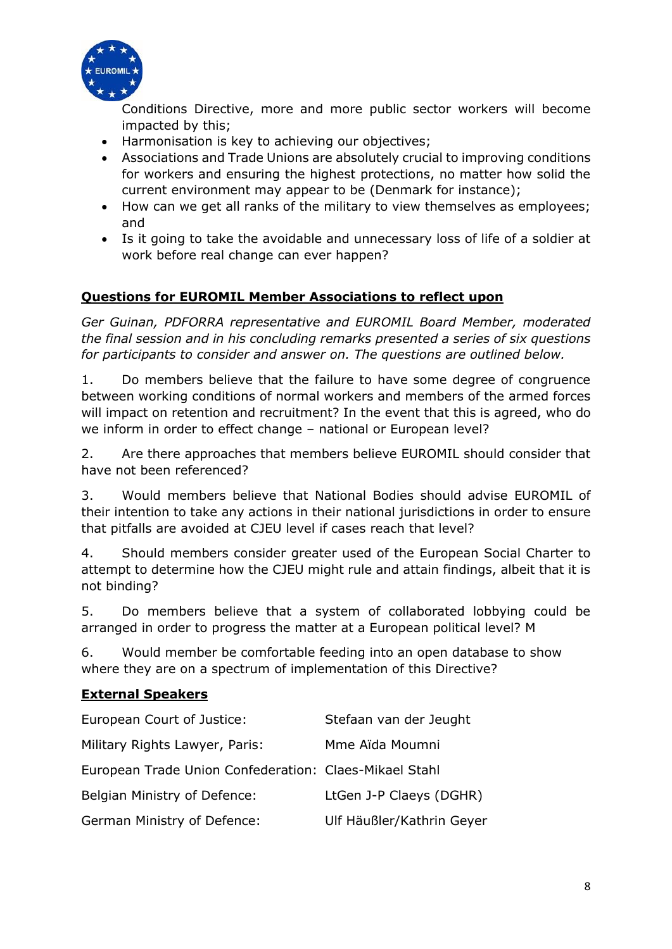

Conditions Directive, more and more public sector workers will become impacted by this;

- Harmonisation is key to achieving our objectives;
- Associations and Trade Unions are absolutely crucial to improving conditions for workers and ensuring the highest protections, no matter how solid the current environment may appear to be (Denmark for instance);
- How can we get all ranks of the military to view themselves as employees; and
- Is it going to take the avoidable and unnecessary loss of life of a soldier at work before real change can ever happen?

## **Questions for EUROMIL Member Associations to reflect upon**

*Ger Guinan, PDFORRA representative and EUROMIL Board Member, moderated the final session and in his concluding remarks presented a series of six questions for participants to consider and answer on. The questions are outlined below.* 

1. Do members believe that the failure to have some degree of congruence between working conditions of normal workers and members of the armed forces will impact on retention and recruitment? In the event that this is agreed, who do we inform in order to effect change – national or European level?

2. Are there approaches that members believe EUROMIL should consider that have not been referenced?

3. Would members believe that National Bodies should advise EUROMIL of their intention to take any actions in their national jurisdictions in order to ensure that pitfalls are avoided at CJEU level if cases reach that level?

4. Should members consider greater used of the European Social Charter to attempt to determine how the CJEU might rule and attain findings, albeit that it is not binding?

5. Do members believe that a system of collaborated lobbying could be arranged in order to progress the matter at a European political level? M

6. Would member be comfortable feeding into an open database to show where they are on a spectrum of implementation of this Directive?

#### **External Speakers**

| European Court of Justice:                             | Stefaan van der Jeught    |
|--------------------------------------------------------|---------------------------|
| Military Rights Lawyer, Paris:                         | Mme Aïda Moumni           |
| European Trade Union Confederation: Claes-Mikael Stahl |                           |
| Belgian Ministry of Defence:                           | LtGen J-P Claeys (DGHR)   |
| German Ministry of Defence:                            | Ulf Häußler/Kathrin Geyer |